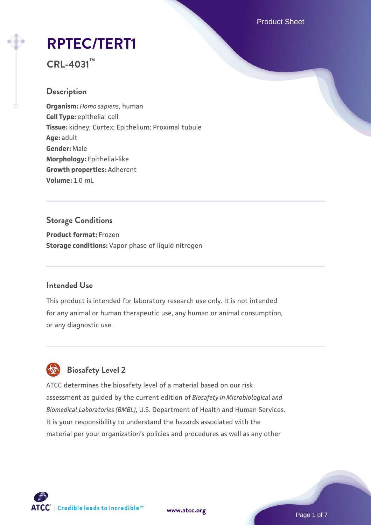Product Sheet

# **[RPTEC/TERT1](https://www.atcc.org/products/crl-4031)**

**CRL-4031™**

# **Description**

**Organism:** *Homo sapiens*, human **Cell Type:** epithelial cell **Tissue:** kidney; Cortex; Epithelium; Proximal tubule **Age:** adult **Gender:** Male **Morphology:** Epithelial-like **Growth properties:** Adherent **Volume:** 1.0 mL

# **Storage Conditions**

**Product format:** Frozen **Storage conditions:** Vapor phase of liquid nitrogen

# **Intended Use**

This product is intended for laboratory research use only. It is not intended for any animal or human therapeutic use, any human or animal consumption, or any diagnostic use.



# **Biosafety Level 2**

ATCC determines the biosafety level of a material based on our risk assessment as guided by the current edition of *Biosafety in Microbiological and Biomedical Laboratories (BMBL)*, U.S. Department of Health and Human Services. It is your responsibility to understand the hazards associated with the material per your organization's policies and procedures as well as any other

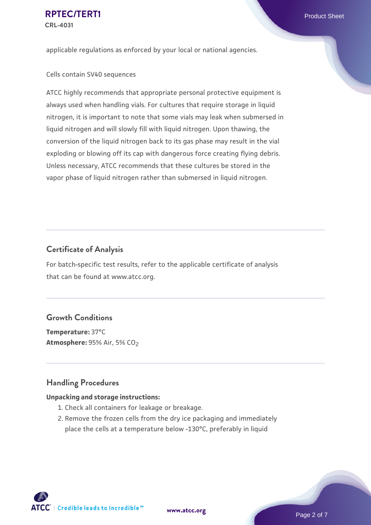applicable regulations as enforced by your local or national agencies.

Cells contain SV40 sequences

ATCC highly recommends that appropriate personal protective equipment is always used when handling vials. For cultures that require storage in liquid nitrogen, it is important to note that some vials may leak when submersed in liquid nitrogen and will slowly fill with liquid nitrogen. Upon thawing, the conversion of the liquid nitrogen back to its gas phase may result in the vial exploding or blowing off its cap with dangerous force creating flying debris. Unless necessary, ATCC recommends that these cultures be stored in the vapor phase of liquid nitrogen rather than submersed in liquid nitrogen.

# **Certificate of Analysis**

For batch-specific test results, refer to the applicable certificate of analysis that can be found at www.atcc.org.

# **Growth Conditions**

**Temperature:** 37°C **Atmosphere: 95% Air, 5% CO<sub>2</sub>** 

# **Handling Procedures**

### **Unpacking and storage instructions:**

- 1. Check all containers for leakage or breakage.
- 2. Remove the frozen cells from the dry ice packaging and immediately place the cells at a temperature below -130°C, preferably in liquid

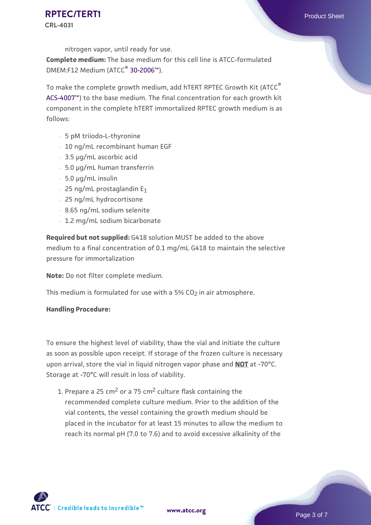nitrogen vapor, until ready for use.

**Complete medium:** The base medium for this cell line is ATCC-formulated DMEM:F12 Medium (ATCC® [30-2006](https://www.atcc.org/products/30-2006)™).

To make the complete growth medium, add hTERT RPTEC Growth Kit (ATCC® [ACS-4007](https://www.atcc.org/products/acs-4007)™) to the base medium. The final concentration for each growth kit component in the complete hTERT immortalized RPTEC growth medium is as follows:

- 5 pM triiodo-L-thyronine
- 10 ng/mL recombinant human EGF
- 3.5 µg/mL ascorbic acid
- 5.0 µg/mL human transferrin
- $-5.0 \mu q/mL$  insulin
- $\,$   $\,$  25 ng/mL prostaglandin E $_1$
- 25 ng/mL hydrocortisone
- 8.65 ng/mL sodium selenite
- 1.2 mg/mL sodium bicarbonate

**Required but not supplied:** G418 solution MUST be added to the above medium to a final concentration of 0.1 mg/mL G418 to maintain the selective pressure for immortalization

**Note:** Do not filter complete medium.

This medium is formulated for use with a 5%  $CO<sub>2</sub>$  in air atmosphere.

#### **Handling Procedure:**

To ensure the highest level of viability, thaw the vial and initiate the culture as soon as possible upon receipt. If storage of the frozen culture is necessary upon arrival, store the vial in liquid nitrogen vapor phase and **NOT** at -70°C. Storage at -70°C will result in loss of viability.

1. Prepare a 25 cm<sup>2</sup> or a 75 cm<sup>2</sup> culture flask containing the recommended complete culture medium. Prior to the addition of the vial contents, the vessel containing the growth medium should be placed in the incubator for at least 15 minutes to allow the medium to reach its normal pH (7.0 to 7.6) and to avoid excessive alkalinity of the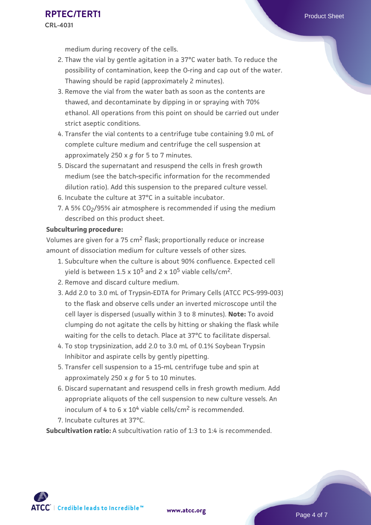medium during recovery of the cells.

- 2. Thaw the vial by gentle agitation in a 37°C water bath. To reduce the possibility of contamination, keep the O-ring and cap out of the water. Thawing should be rapid (approximately 2 minutes).
- 3. Remove the vial from the water bath as soon as the contents are thawed, and decontaminate by dipping in or spraying with 70% ethanol. All operations from this point on should be carried out under strict aseptic conditions.
- 4. Transfer the vial contents to a centrifuge tube containing 9.0 mL of complete culture medium and centrifuge the cell suspension at approximately 250 x *g* for 5 to 7 minutes.
- 5. Discard the supernatant and resuspend the cells in fresh growth medium (see the batch-specific information for the recommended dilution ratio). Add this suspension to the prepared culture vessel.
- 6. Incubate the culture at 37°C in a suitable incubator.
- $7.$  A 5% CO $_2$ /95% air atmosphere is recommended if using the medium  $\,$ described on this product sheet.

#### **Subculturing procedure:**

Volumes are given for a 75 cm2 flask; proportionally reduce or increase amount of dissociation medium for culture vessels of other sizes.

- 1. Subculture when the culture is about 90% confluence. Expected cell yield is between 1.5 x 10<sup>5</sup> and 2 x 10<sup>5</sup> viable cells/cm<sup>2</sup>.
- 2. Remove and discard culture medium.
- 3. Add 2.0 to 3.0 mL of Trypsin-EDTA for Primary Cells (ATCC PCS-999-003) to the flask and observe cells under an inverted microscope until the cell layer is dispersed (usually within 3 to 8 minutes). **Note:** To avoid clumping do not agitate the cells by hitting or shaking the flask while waiting for the cells to detach. Place at 37°C to facilitate dispersal.
- To stop trypsinization, add 2.0 to 3.0 mL of 0.1% Soybean Trypsin 4. Inhibitor and aspirate cells by gently pipetting.
- 5. Transfer cell suspension to a 15-mL centrifuge tube and spin at approximately 250 x *g* for 5 to 10 minutes.
- 6. Discard supernatant and resuspend cells in fresh growth medium. Add appropriate aliquots of the cell suspension to new culture vessels. An inoculum of 4 to 6  $\times$  10<sup>4</sup> viable cells/cm<sup>2</sup> is recommended.
- 7. Incubate cultures at 37°C.

**Subcultivation ratio:** A subcultivation ratio of 1:3 to 1:4 is recommended.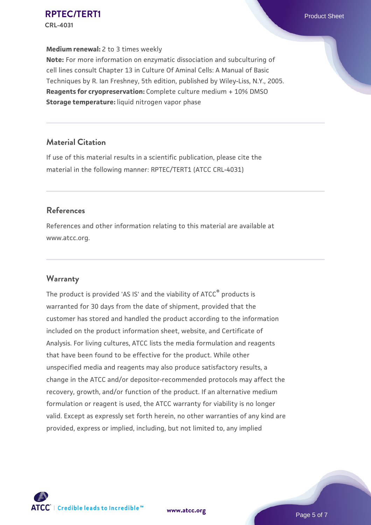#### **Medium renewal:** 2 to 3 times weekly

**Note:** For more information on enzymatic dissociation and subculturing of cell lines consult Chapter 13 in Culture Of Aminal Cells: A Manual of Basic Techniques by R. Ian Freshney, 5th edition, published by Wiley-Liss, N.Y., 2005. **Reagents for cryopreservation:** Complete culture medium + 10% DMSO **Storage temperature:** liquid nitrogen vapor phase

# **Material Citation**

If use of this material results in a scientific publication, please cite the material in the following manner: RPTEC/TERT1 (ATCC CRL-4031)

# **References**

References and other information relating to this material are available at www.atcc.org.

# **Warranty**

The product is provided 'AS IS' and the viability of ATCC® products is warranted for 30 days from the date of shipment, provided that the customer has stored and handled the product according to the information included on the product information sheet, website, and Certificate of Analysis. For living cultures, ATCC lists the media formulation and reagents that have been found to be effective for the product. While other unspecified media and reagents may also produce satisfactory results, a change in the ATCC and/or depositor-recommended protocols may affect the recovery, growth, and/or function of the product. If an alternative medium formulation or reagent is used, the ATCC warranty for viability is no longer valid. Except as expressly set forth herein, no other warranties of any kind are provided, express or implied, including, but not limited to, any implied

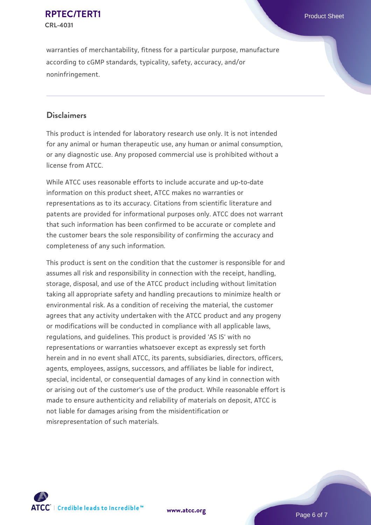warranties of merchantability, fitness for a particular purpose, manufacture according to cGMP standards, typicality, safety, accuracy, and/or noninfringement.

# **Disclaimers**

This product is intended for laboratory research use only. It is not intended for any animal or human therapeutic use, any human or animal consumption, or any diagnostic use. Any proposed commercial use is prohibited without a license from ATCC.

While ATCC uses reasonable efforts to include accurate and up-to-date information on this product sheet, ATCC makes no warranties or representations as to its accuracy. Citations from scientific literature and patents are provided for informational purposes only. ATCC does not warrant that such information has been confirmed to be accurate or complete and the customer bears the sole responsibility of confirming the accuracy and completeness of any such information.

This product is sent on the condition that the customer is responsible for and assumes all risk and responsibility in connection with the receipt, handling, storage, disposal, and use of the ATCC product including without limitation taking all appropriate safety and handling precautions to minimize health or environmental risk. As a condition of receiving the material, the customer agrees that any activity undertaken with the ATCC product and any progeny or modifications will be conducted in compliance with all applicable laws, regulations, and guidelines. This product is provided 'AS IS' with no representations or warranties whatsoever except as expressly set forth herein and in no event shall ATCC, its parents, subsidiaries, directors, officers, agents, employees, assigns, successors, and affiliates be liable for indirect, special, incidental, or consequential damages of any kind in connection with or arising out of the customer's use of the product. While reasonable effort is made to ensure authenticity and reliability of materials on deposit, ATCC is not liable for damages arising from the misidentification or misrepresentation of such materials.



**[www.atcc.org](http://www.atcc.org)**

Page 6 of 7